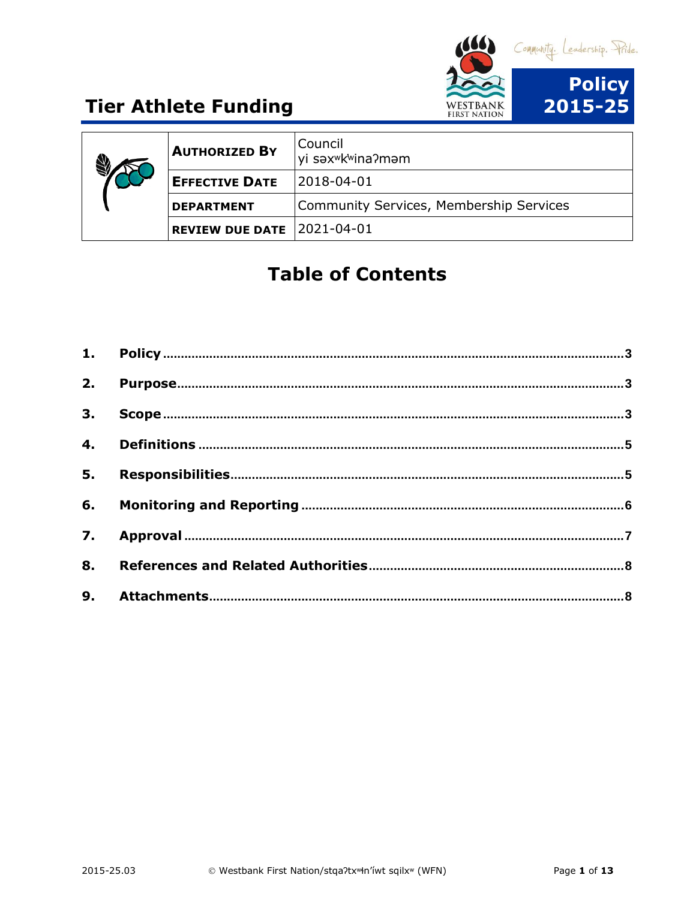

| <b>AUTHORIZED BY</b>         | Council<br>yi səx <sup>w</sup> k <sup>w</sup> ina?məm |
|------------------------------|-------------------------------------------------------|
| <b>EFFECTIVE DATE</b>        | $ 2018-04-01$                                         |
| <b>DEPARTMENT</b>            | Community Services, Membership Services               |
| $REVIEW DUE DATE$ 2021-04-01 |                                                       |

## **Table of Contents**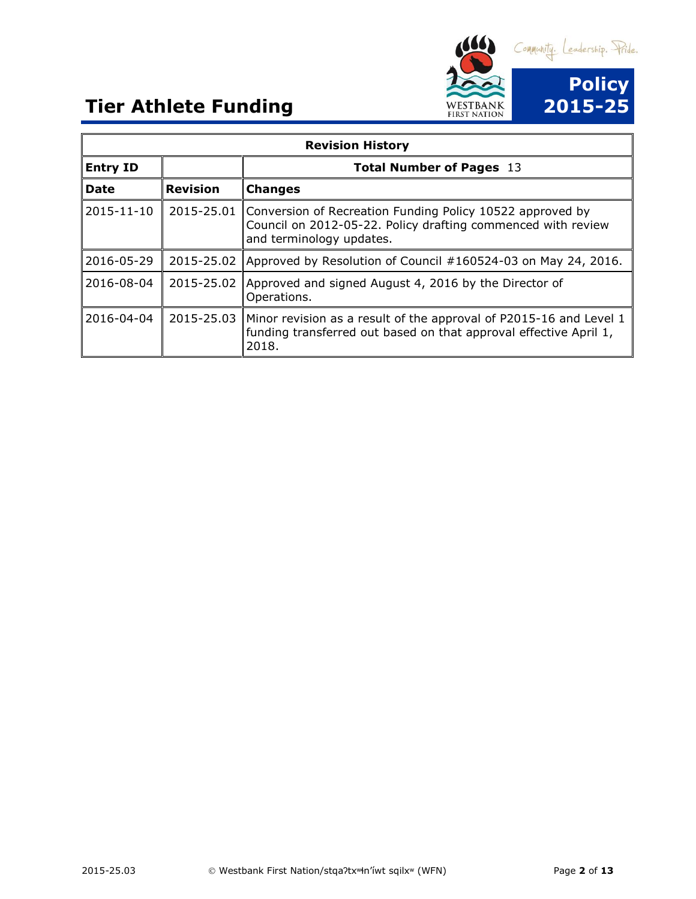

| <b>Revision History</b> |                 |                                                                                                                                                       |  |
|-------------------------|-----------------|-------------------------------------------------------------------------------------------------------------------------------------------------------|--|
| <b>Entry ID</b>         |                 | <b>Total Number of Pages 13</b>                                                                                                                       |  |
| <b>Date</b>             | <b>Revision</b> | <b>Changes</b>                                                                                                                                        |  |
| 2015-11-10              | 2015-25.01      | Conversion of Recreation Funding Policy 10522 approved by<br>Council on 2012-05-22. Policy drafting commenced with review<br>and terminology updates. |  |
| 2016-05-29              | 2015-25.02      | Approved by Resolution of Council #160524-03 on May 24, 2016.                                                                                         |  |
| 2016-08-04              | 2015-25.02      | Approved and signed August 4, 2016 by the Director of<br>Operations.                                                                                  |  |
| 2016-04-04              | 2015-25.03      | Minor revision as a result of the approval of P2015-16 and Level 1<br>funding transferred out based on that approval effective April 1,<br>2018.      |  |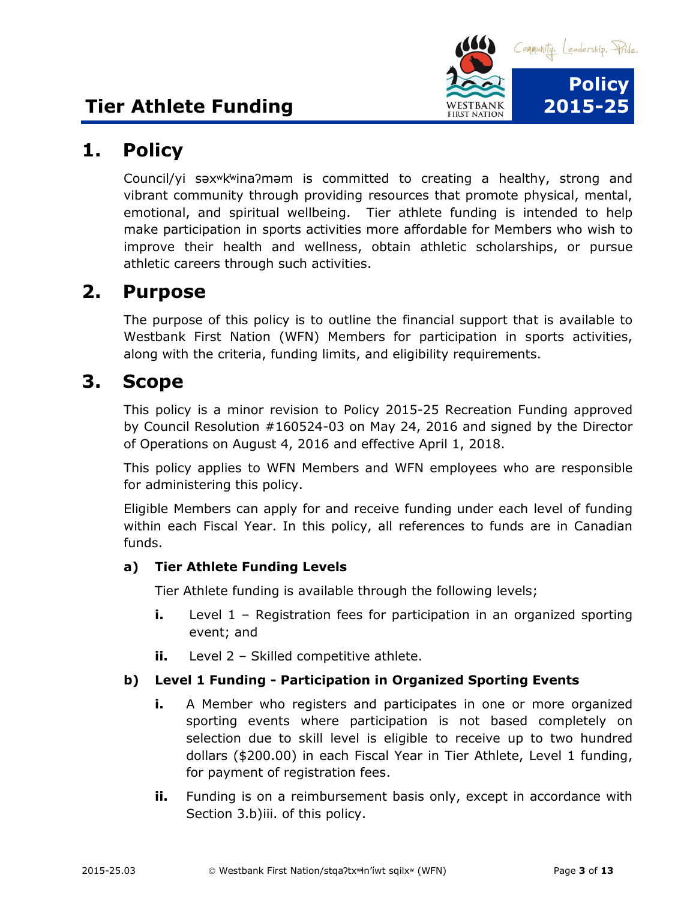

### <span id="page-2-0"></span>**1. Policy**

Council/yi səxʷk̓ʷinaʔməm is committed to creating a healthy, strong and vibrant community through providing resources that promote physical, mental, emotional, and spiritual wellbeing. Tier athlete funding is intended to help make participation in sports activities more affordable for Members who wish to improve their health and wellness, obtain athletic scholarships, or pursue athletic careers through such activities.

### <span id="page-2-1"></span>**2. Purpose**

The purpose of this policy is to outline the financial support that is available to Westbank First Nation (WFN) Members for participation in sports activities, along with the criteria, funding limits, and eligibility requirements.

#### <span id="page-2-2"></span>**3. Scope**

This policy is a minor revision to Policy 2015-25 Recreation Funding approved by Council Resolution #160524-03 on May 24, 2016 and signed by the Director of Operations on August 4, 2016 and effective April 1, 2018.

This policy applies to WFN Members and WFN employees who are responsible for administering this policy.

Eligible Members can apply for and receive funding under each level of funding within each Fiscal Year. In this policy, all references to funds are in Canadian funds.

#### **a) Tier Athlete Funding Levels**

Tier Athlete funding is available through the following levels;

- **i.** Level 1 Registration fees for participation in an organized sporting event; and
- **ii.** Level 2 Skilled competitive athlete.

#### **b) Level 1 Funding - Participation in Organized Sporting Events**

- **i.** A Member who registers and participates in one or more organized sporting events where participation is not based completely on selection due to skill level is eligible to receive up to two hundred dollars (\$200.00) in each Fiscal Year in Tier Athlete, Level 1 funding, for payment of registration fees.
- **ii.** Funding is on a reimbursement basis only, except in accordance with Section 3.b)iii. of this policy.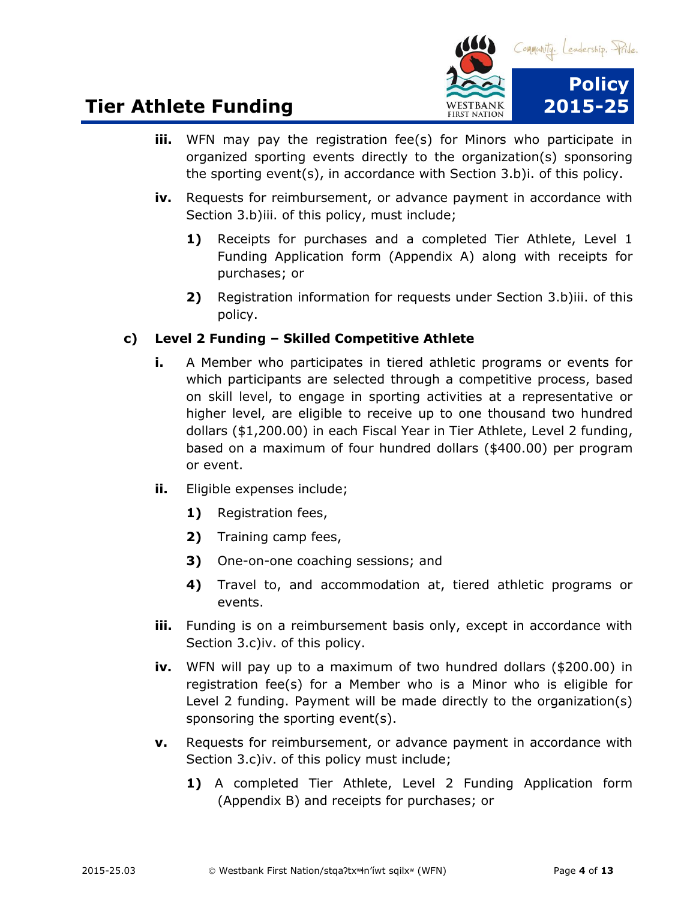

- **iii.** WFN may pay the registration fee(s) for Minors who participate in organized sporting events directly to the organization(s) sponsoring the sporting event(s), in accordance with Section 3.b)i. of this policy.
- **iv.** Requests for reimbursement, or advance payment in accordance with Section 3.b)iii. of this policy, must include;
	- **1)** Receipts for purchases and a completed Tier Athlete, Level 1 Funding Application form (Appendix A) along with receipts for purchases; or
	- **2)** Registration information for requests under Section 3.b)iii. of this policy.

#### **c) Level 2 Funding – Skilled Competitive Athlete**

- **i.** A Member who participates in tiered athletic programs or events for which participants are selected through a competitive process, based on skill level, to engage in sporting activities at a representative or higher level, are eligible to receive up to one thousand two hundred dollars (\$1,200.00) in each Fiscal Year in Tier Athlete, Level 2 funding, based on a maximum of four hundred dollars (\$400.00) per program or event.
- **ii.** Eligible expenses include;
	- **1)** Registration fees,
	- **2)** Training camp fees,
	- **3)** One-on-one coaching sessions; and
	- **4)** Travel to, and accommodation at, tiered athletic programs or events.
- **iii.** Funding is on a reimbursement basis only, except in accordance with Section 3.c)iv. of this policy.
- **iv.** WFN will pay up to a maximum of two hundred dollars (\$200.00) in registration fee(s) for a Member who is a Minor who is eligible for Level 2 funding. Payment will be made directly to the organization(s) sponsoring the sporting event(s).
- **v.** Requests for reimbursement, or advance payment in accordance with Section 3.c)iv. of this policy must include;
	- **1)** A completed Tier Athlete, Level 2 Funding Application form (Appendix B) and receipts for purchases; or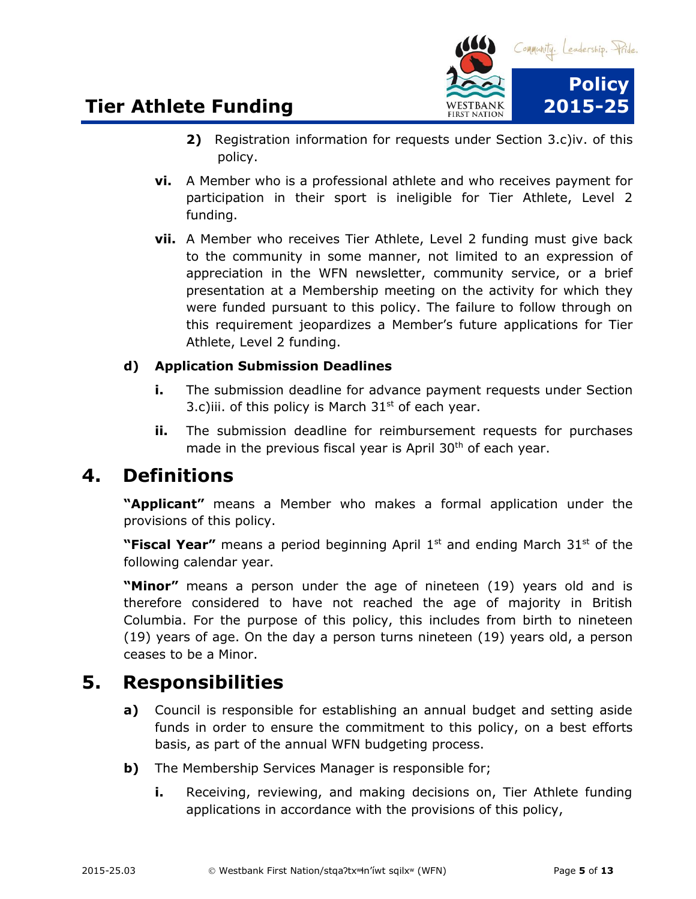

- **2)** Registration information for requests under Section 3.c)iv. of this policy.
- **vi.** A Member who is a professional athlete and who receives payment for participation in their sport is ineligible for Tier Athlete, Level 2 funding.
- **vii.** A Member who receives Tier Athlete, Level 2 funding must give back to the community in some manner, not limited to an expression of appreciation in the WFN newsletter, community service, or a brief presentation at a Membership meeting on the activity for which they were funded pursuant to this policy. The failure to follow through on this requirement jeopardizes a Member's future applications for Tier Athlete, Level 2 funding.

#### **d) Application Submission Deadlines**

- **i.** The submission deadline for advance payment requests under Section 3.c)iii. of this policy is March  $31<sup>st</sup>$  of each year.
- **ii.** The submission deadline for reimbursement requests for purchases made in the previous fiscal year is April 30<sup>th</sup> of each year.

### <span id="page-4-0"></span>**4. Definitions**

**"Applicant"** means a Member who makes a formal application under the provisions of this policy.

**"Fiscal Year"** means a period beginning April 1<sup>st</sup> and ending March 31<sup>st</sup> of the following calendar year.

**"Minor"** means a person under the age of nineteen (19) years old and is therefore considered to have not reached the age of majority in British Columbia. For the purpose of this policy, this includes from birth to nineteen (19) years of age. On the day a person turns nineteen (19) years old, a person ceases to be a Minor.

### <span id="page-4-1"></span>**5. Responsibilities**

- **a)** Council is responsible for establishing an annual budget and setting aside funds in order to ensure the commitment to this policy, on a best efforts basis, as part of the annual WFN budgeting process.
- **b)** The Membership Services Manager is responsible for;
	- **i.** Receiving, reviewing, and making decisions on, Tier Athlete funding applications in accordance with the provisions of this policy,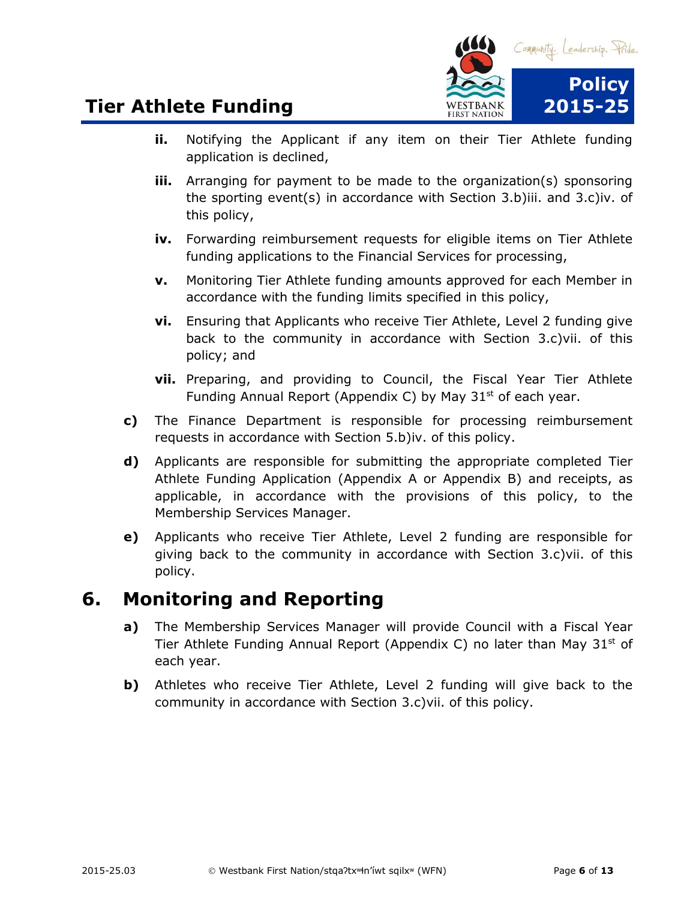

- **ii.** Notifying the Applicant if any item on their Tier Athlete funding application is declined,
- **iii.** Arranging for payment to be made to the organization(s) sponsoring the sporting event(s) in accordance with Section 3.b)iii. and 3.c)iv. of this policy,
- **iv.** Forwarding reimbursement requests for eligible items on Tier Athlete funding applications to the Financial Services for processing,
- **v.** Monitoring Tier Athlete funding amounts approved for each Member in accordance with the funding limits specified in this policy,
- **vi.** Ensuring that Applicants who receive Tier Athlete, Level 2 funding give back to the community in accordance with Section 3.c)vii. of this policy; and
- **vii.** Preparing, and providing to Council, the Fiscal Year Tier Athlete Funding Annual Report (Appendix C) by May 31<sup>st</sup> of each year.
- **c)** The Finance Department is responsible for processing reimbursement requests in accordance with Section 5.b)iv. of this policy.
- **d)** Applicants are responsible for submitting the appropriate completed Tier Athlete Funding Application (Appendix A or Appendix B) and receipts, as applicable, in accordance with the provisions of this policy, to the Membership Services Manager.
- **e)** Applicants who receive Tier Athlete, Level 2 funding are responsible for giving back to the community in accordance with Section 3.c)vii. of this policy.

### <span id="page-5-0"></span>**6. Monitoring and Reporting**

- **a)** The Membership Services Manager will provide Council with a Fiscal Year Tier Athlete Funding Annual Report (Appendix C) no later than May  $31<sup>st</sup>$  of each year.
- **b)** Athletes who receive Tier Athlete, Level 2 funding will give back to the community in accordance with Section 3.c)vii. of this policy.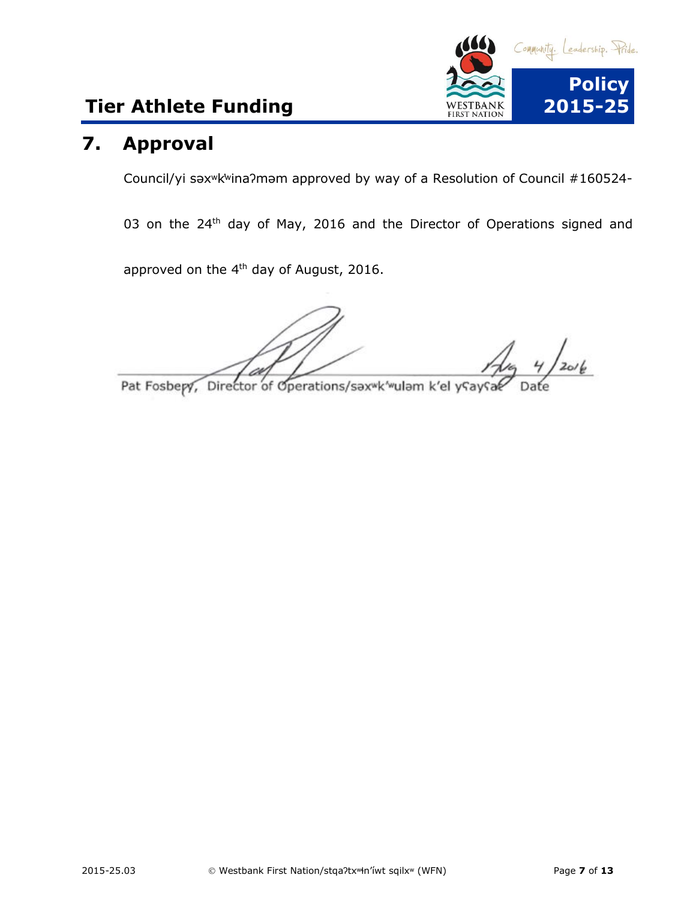

### <span id="page-6-0"></span>**7. Approval**

Council/yi səxʷk̓ʷinaʔməm approved by way of a Resolution of Council #160524-

03 on the 24<sup>th</sup> day of May, 2016 and the Director of Operations signed and

approved on the  $4<sup>th</sup>$  day of August, 2016.

 $4/20/6$ 

Pat Fosbery, Director of Operations, Director of Operations, Sax will be a sex will be a sex will be a sex will be a sex will be a sex will be a sex will be a sex will be a sex will be a sex will be a sex will be a sex wil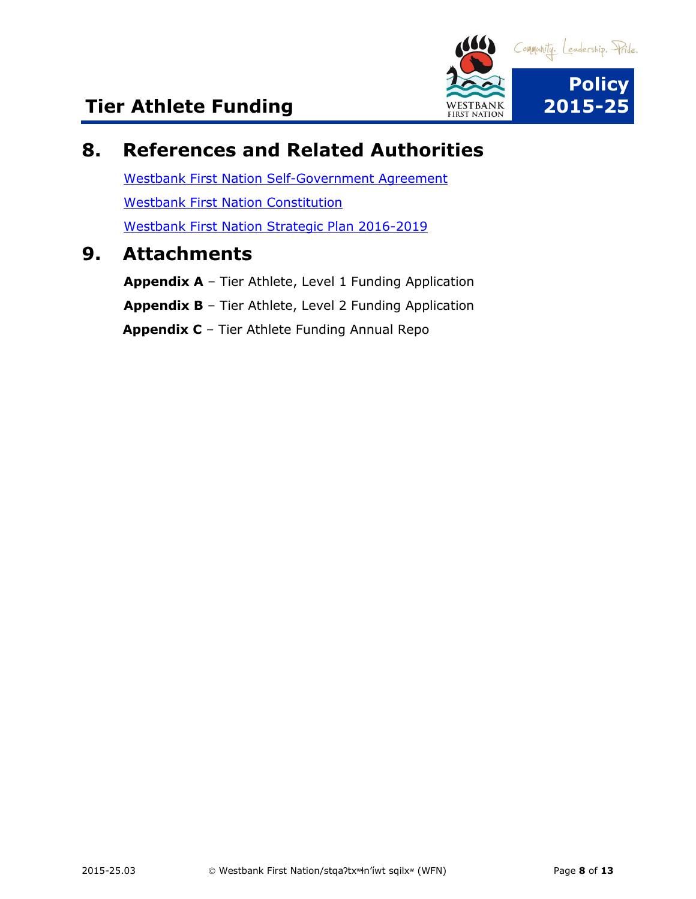

### <span id="page-7-0"></span>**8. References and Related Authorities**

[Westbank First Nation Self-Government](https://www.aadnc-aandc.gc.ca/eng/1100100031766/1100100031768) Agreement [Westbank First Nation Constitution](https://www.wfn.ca/docs/wfn-constitution.pdf) [Westbank First Nation Strategic Plan 2016-2019](https://www.wfn.ca/docs/wfn-strategic-plan-2016-2019.pdf)

### <span id="page-7-1"></span>**9. Attachments**

**Appendix A** – Tier Athlete, Level 1 Funding Application **Appendix B** – Tier Athlete, Level 2 Funding Application **Appendix C** – Tier Athlete Funding Annual Repo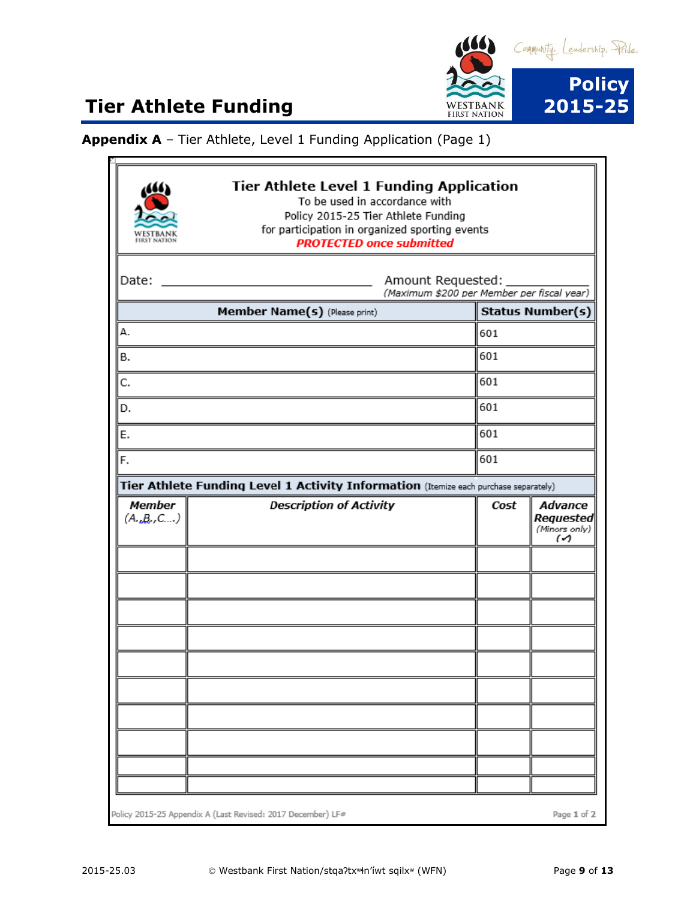

r.

**Appendix A** – Tier Athlete, Level 1 Funding Application (Page 1)

|                            | <b>Tier Athlete Level 1 Funding Application</b><br>To be used in accordance with<br>Policy 2015-25 Tier Athlete Funding<br>for participation in organized sporting events<br><b>PROTECTED once submitted</b> |                                                                 |     |  |  |
|----------------------------|--------------------------------------------------------------------------------------------------------------------------------------------------------------------------------------------------------------|-----------------------------------------------------------------|-----|--|--|
| Date:                      |                                                                                                                                                                                                              | Amount Requested:<br>(Maximum \$200 per Member per fiscal year) |     |  |  |
|                            | Member Name(s) (Please print)                                                                                                                                                                                | <b>Status Number(s)</b>                                         |     |  |  |
| А.                         |                                                                                                                                                                                                              | 601                                                             |     |  |  |
| В.                         |                                                                                                                                                                                                              | 601                                                             |     |  |  |
| C.                         |                                                                                                                                                                                                              | 601                                                             |     |  |  |
| D.                         |                                                                                                                                                                                                              | 601                                                             |     |  |  |
| E.                         |                                                                                                                                                                                                              | 601                                                             |     |  |  |
| F.                         |                                                                                                                                                                                                              |                                                                 | 601 |  |  |
|                            | Tier Athlete Funding Level 1 Activity Information (Itemize each purchase separately)                                                                                                                         |                                                                 |     |  |  |
| <b>Member</b><br>(A.,B.,C) | <b>Description of Activity</b>                                                                                                                                                                               | Advance<br>Cost<br>Requested                                    |     |  |  |
|                            |                                                                                                                                                                                                              | (Minors only)<br>$\omega$                                       |     |  |  |
|                            |                                                                                                                                                                                                              |                                                                 |     |  |  |
|                            |                                                                                                                                                                                                              |                                                                 |     |  |  |
|                            |                                                                                                                                                                                                              |                                                                 |     |  |  |
|                            |                                                                                                                                                                                                              |                                                                 |     |  |  |
|                            |                                                                                                                                                                                                              |                                                                 |     |  |  |
|                            |                                                                                                                                                                                                              |                                                                 |     |  |  |
|                            |                                                                                                                                                                                                              |                                                                 |     |  |  |
|                            |                                                                                                                                                                                                              |                                                                 |     |  |  |
|                            |                                                                                                                                                                                                              |                                                                 |     |  |  |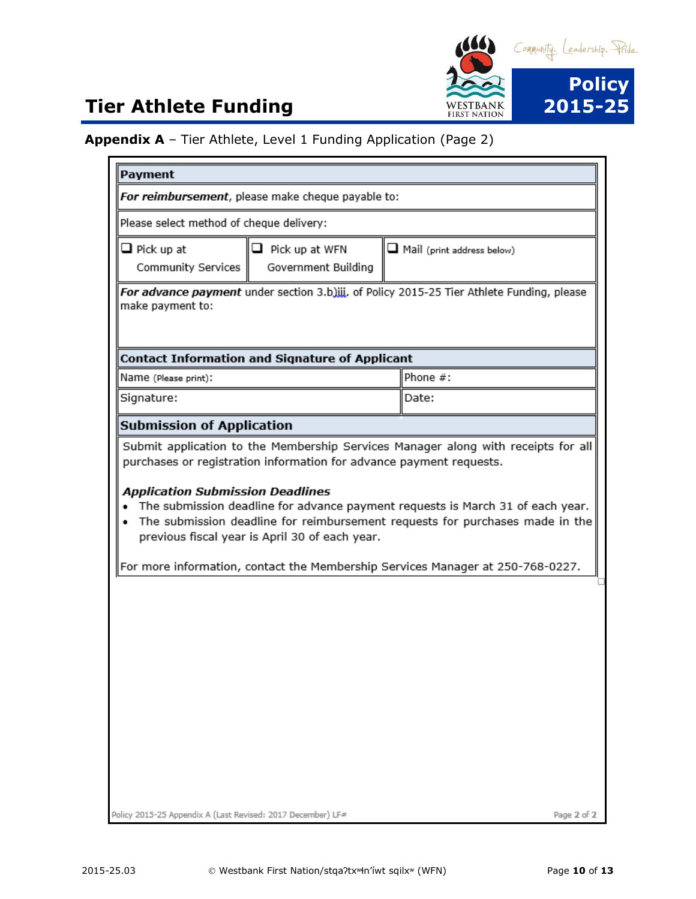

#### **Appendix A** – Tier Athlete, Level 1 Funding Application (Page 2)

| Payment                                                     |                                                       |                                                                                                                                                                |
|-------------------------------------------------------------|-------------------------------------------------------|----------------------------------------------------------------------------------------------------------------------------------------------------------------|
|                                                             | For reimbursement, please make cheque payable to:     |                                                                                                                                                                |
| Please select method of cheque delivery:                    |                                                       |                                                                                                                                                                |
| $\Box$ Pick up at<br>Community Services                     | $\Box$ Pick up at WFN<br>Government Building          | Mail (print address below)                                                                                                                                     |
| make payment to:                                            |                                                       | For advance payment under section 3.b)iii. of Policy 2015-25 Tier Athlete Funding, please                                                                      |
|                                                             | <b>Contact Information and Signature of Applicant</b> |                                                                                                                                                                |
| Name (Please print):                                        |                                                       | Phone #:                                                                                                                                                       |
| Signature:                                                  |                                                       | Date:                                                                                                                                                          |
| <b>Submission of Application</b>                            |                                                       |                                                                                                                                                                |
|                                                             | previous fiscal year is April 30 of each year.        | The submission deadline for reimbursement requests for purchases made in the<br>For more information, contact the Membership Services Manager at 250-768-0227. |
|                                                             |                                                       |                                                                                                                                                                |
| Policy 2015-25 Appendix A (Last Revised: 2017 December) LF# |                                                       | Page 2 of 2                                                                                                                                                    |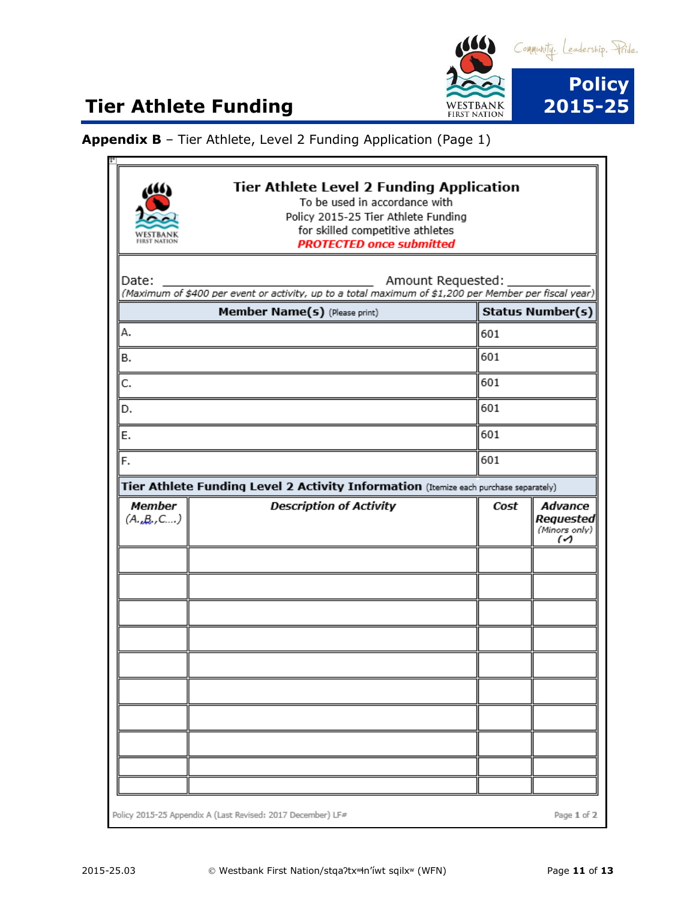

 $|+|$ 

**Appendix B** – Tier Athlete, Level 2 Funding Application (Page 1)

| <b>Tier Athlete Level 2 Funding Application</b><br>To be used in accordance with<br>Policy 2015-25 Tier Athlete Funding<br>for skilled competitive athletes<br><b>PROTECTED once submitted</b> |                                                                                                                            |      |                                                   |  |
|------------------------------------------------------------------------------------------------------------------------------------------------------------------------------------------------|----------------------------------------------------------------------------------------------------------------------------|------|---------------------------------------------------|--|
| Date:                                                                                                                                                                                          | Amount Requested:<br>(Maximum of \$400 per event or activity, up to a total maximum of \$1,200 per Member per fiscal year) |      |                                                   |  |
|                                                                                                                                                                                                | Member Name(s) (Please print)                                                                                              |      | <b>Status Number(s)</b>                           |  |
| А.                                                                                                                                                                                             |                                                                                                                            | 601  |                                                   |  |
| в.                                                                                                                                                                                             |                                                                                                                            | 601  |                                                   |  |
| C.                                                                                                                                                                                             |                                                                                                                            | 601  |                                                   |  |
| D.                                                                                                                                                                                             |                                                                                                                            | 601  |                                                   |  |
| Е.                                                                                                                                                                                             |                                                                                                                            |      | 601                                               |  |
| F.                                                                                                                                                                                             |                                                                                                                            |      | 601                                               |  |
|                                                                                                                                                                                                | Tier Athlete Funding Level 2 Activity Information (Itemize each purchase separately)                                       |      |                                                   |  |
| <b>Member</b><br>(A.,B.,C)                                                                                                                                                                     | <b>Description of Activity</b>                                                                                             | Cost | Advance<br>Requested<br>(Minors only)<br>$\omega$ |  |
|                                                                                                                                                                                                |                                                                                                                            |      |                                                   |  |
|                                                                                                                                                                                                |                                                                                                                            |      |                                                   |  |
|                                                                                                                                                                                                |                                                                                                                            |      |                                                   |  |
|                                                                                                                                                                                                |                                                                                                                            |      |                                                   |  |
|                                                                                                                                                                                                |                                                                                                                            |      |                                                   |  |
|                                                                                                                                                                                                |                                                                                                                            |      |                                                   |  |
|                                                                                                                                                                                                |                                                                                                                            |      |                                                   |  |
|                                                                                                                                                                                                |                                                                                                                            |      |                                                   |  |
|                                                                                                                                                                                                |                                                                                                                            |      |                                                   |  |
|                                                                                                                                                                                                |                                                                                                                            |      |                                                   |  |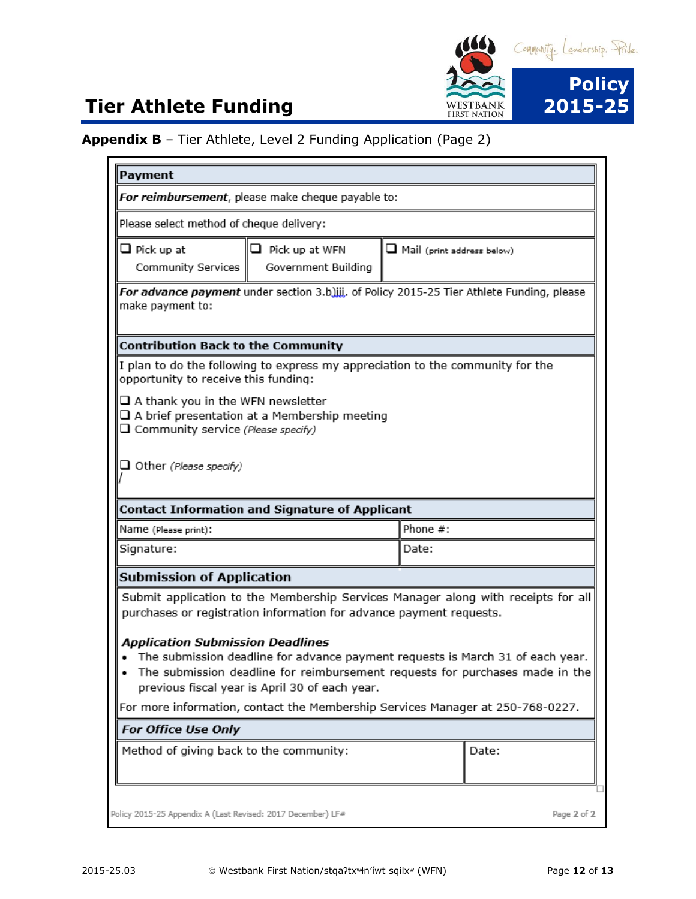

#### **Appendix B** – Tier Athlete, Level 2 Funding Application (Page 2)

| Payment                                                                                                       |                                                                     |  |                                                                                                                                                                       |  |  |
|---------------------------------------------------------------------------------------------------------------|---------------------------------------------------------------------|--|-----------------------------------------------------------------------------------------------------------------------------------------------------------------------|--|--|
| For reimbursement, please make cheque payable to:                                                             |                                                                     |  |                                                                                                                                                                       |  |  |
| Please select method of cheque delivery:                                                                      |                                                                     |  |                                                                                                                                                                       |  |  |
| $\Box$ Pick up at<br>Community Services                                                                       | $\Box$ Pick up at WFN<br>Government Building                        |  | $\Box$ Mail (print address below)                                                                                                                                     |  |  |
| For advance payment under section 3.b)iii. of Policy 2015-25 Tier Athlete Funding, please<br>make payment to: |                                                                     |  |                                                                                                                                                                       |  |  |
| <b>Contribution Back to the Community</b>                                                                     |                                                                     |  |                                                                                                                                                                       |  |  |
| opportunity to receive this funding:                                                                          |                                                                     |  | If plan to do the following to express my appreciation to the community for the                                                                                       |  |  |
| $\Box$ A thank you in the WFN newsletter<br>□ Community service (Please specify)                              | $\square$ A brief presentation at a Membership meeting              |  |                                                                                                                                                                       |  |  |
| $\Box$ Other (Please specify)                                                                                 |                                                                     |  |                                                                                                                                                                       |  |  |
|                                                                                                               | <b>Contact Information and Signature of Applicant</b>               |  |                                                                                                                                                                       |  |  |
| Name (Please print):                                                                                          |                                                                     |  | Phone #:                                                                                                                                                              |  |  |
| Signature:                                                                                                    |                                                                     |  | Date:                                                                                                                                                                 |  |  |
| <b>Submission of Application</b>                                                                              |                                                                     |  |                                                                                                                                                                       |  |  |
|                                                                                                               | purchases or registration information for advance payment requests. |  | Submit application to the Membership Services Manager along with receipts for all                                                                                     |  |  |
| <b>Application Submission Deadlines</b>                                                                       | previous fiscal year is April 30 of each year.                      |  | The submission deadline for advance payment requests is March 31 of each year.<br>The submission deadline for reimbursement requests for purchases made in the $\mid$ |  |  |
| For more information, contact the Membership Services Manager at 250-768-0227.                                |                                                                     |  |                                                                                                                                                                       |  |  |
| For Office Use Only                                                                                           |                                                                     |  |                                                                                                                                                                       |  |  |
| Method of giving back to the community:                                                                       |                                                                     |  | Date:                                                                                                                                                                 |  |  |
| Policy 2015-25 Appendix A (Last Revised: 2017 December) LF#                                                   |                                                                     |  | Page 2 of 2                                                                                                                                                           |  |  |